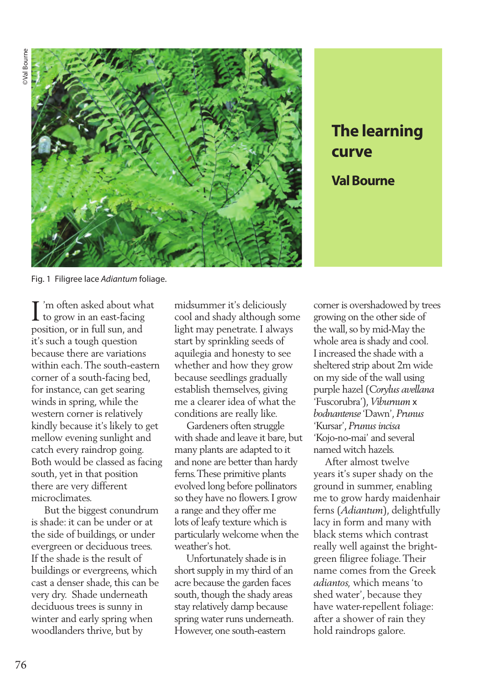

## **The learning curve Val Bourne**

Fig. 1 Filigree lace *Adiantum* foliage.

I'm often asked about what<br>to grow in an east-facing to grow in an east-facing position, or in full sun, and it's such a tough question because there are variations within each. The south-eastern corner of a south-facing bed, for instance, can get searing winds in spring, while the western corner is relatively kindly because it's likely to get mellow evening sunlight and catch every raindrop going. Both would be classed as facing south, yet in that position there are very different microclimates.

 But the biggest conundrum is shade: it can be under or at the side of buildings, or under evergreen or deciduous trees. If the shade is the result of buildings or evergreens, which cast a denser shade, this can be very dry. Shade underneath deciduous trees is sunny in winter and early spring when woodlanders thrive, but by

midsummer it's deliciously cool and shady although some light may penetrate. I always start by sprinkling seeds of aquilegia and honesty to see whether and how they grow because seedlings gradually establish themselves, giving me a clearer idea of what the conditions are really like.

 Gardeners often struggle with shade and leave it bare, but many plants are adapted to it and none are better than hardy ferns. These primitive plants evolved long before pollinators so they have no flowers. I grow a range and they offer me lots of leafy texture which is particularly welcome when the weather's hot.

 Unfortunately shade is in short supply in my third of an acre because the garden faces south, though the shady areas stay relatively damp because spring water runs underneath. However, one south-eastern

corner is overshadowed by trees growing on the other side of the wall, so by mid-May the whole area is shady and cool. I increased the shade with a sheltered strip about 2m wide on my side of the wall using purple hazel (*Corylus avellana* 'Fuscorubra'), *Viburnum* x *bodnantense* 'Dawn', *Prunus* 'Kursar', *Prunus incisa* 'Kojo-no-mai' and several named witch hazels.

 After almost twelve years it's super shady on the ground in summer, enabling me to grow hardy maidenhair ferns (*Adiantum*), delightfully lacy in form and many with black stems which contrast really well against the brightgreen filigree foliage. Their name comes from the Greek *adiantos,* which means 'to shed water', because they have water-repellent foliage: after a shower of rain they hold raindrops galore.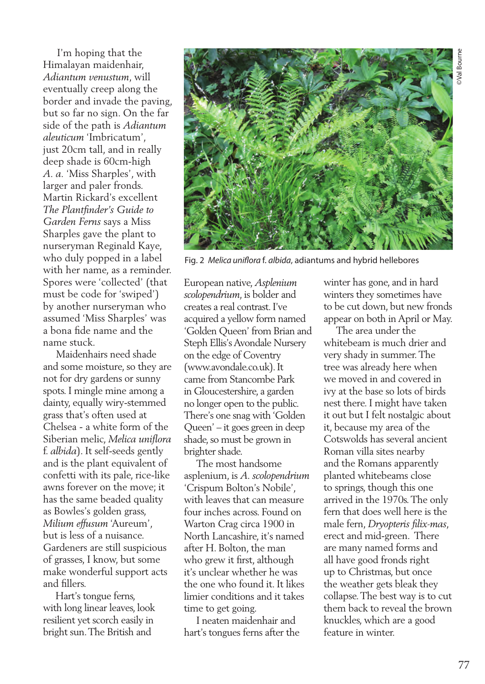I'm hoping that the Himalayan maidenhair, *Adiantum venustum*, will eventually creep along the border and invade the paving, but so far no sign. On the far side of the path is *Adiantum aleuticum* 'Imbricatum', just 20cm tall, and in really deep shade is 60cm-high *A. a.* 'Miss Sharples', with larger and paler fronds. Martin Rickard's excellent *The Plantfinder's Guide to Garden Ferns* says a Miss Sharples gave the plant to nurseryman Reginald Kaye, who duly popped in a label with her name, as a reminder. Spores were 'collected' (that must be code for 'swiped') by another nurseryman who assumed 'Miss Sharples' was a bona fide name and the name stuck.

 Maidenhairs need shade and some moisture, so they are not for dry gardens or sunny spots. I mingle mine among a dainty, equally wiry-stemmed grass that's often used at Chelsea - a white form of the Siberian melic, *Melica uniflora* f. *albida*). It self-seeds gently and is the plant equivalent of confetti with its pale, rice-like awns forever on the move; it has the same beaded quality as Bowles's golden grass, *Milium effusum* 'Aureum', but is less of a nuisance. Gardeners are still suspicious of grasses, I know, but some make wonderful support acts and fillers.

 Hart's tongue ferns, with long linear leaves, look resilient yet scorch easily in bright sun. The British and



Fig. 2 *Melica uniflora* f. *albida*, adiantums and hybrid hellebores

European native, *Asplenium scolopendrium*, is bolder and creates a real contrast. I've acquired a yellow form named 'Golden Queen' from Brian and Steph Ellis's Avondale Nursery on the edge of Coventry (www.avondale.co.uk). It came from Stancombe Park in Gloucestershire, a garden no longer open to the public. There's one snag with 'Golden Queen' – it goes green in deep shade, so must be grown in brighter shade.

 The most handsome asplenium, is *A. scolopendrium* 'Crispum Bolton's Nobile', with leaves that can measure four inches across. Found on Warton Crag circa 1900 in North Lancashire, it's named after H. Bolton, the man who grew it first, although it's unclear whether he was the one who found it. It likes limier conditions and it takes time to get going.

 I neaten maidenhair and hart's tongues ferns after the winter has gone, and in hard winters they sometimes have to be cut down, but new fronds appear on both in April or May.

 The area under the whitebeam is much drier and very shady in summer. The tree was already here when we moved in and covered in ivy at the base so lots of birds nest there. I might have taken it out but I felt nostalgic about it, because my area of the Cotswolds has several ancient Roman villa sites nearby and the Romans apparently planted whitebeams close to springs, though this one arrived in the 1970s. The only fern that does well here is the male fern, *Dryopteris filix-mas*, erect and mid-green. There are many named forms and all have good fronds right up to Christmas, but once the weather gets bleak they collapse. The best way is to cut them back to reveal the brown knuckles, which are a good feature in winter.